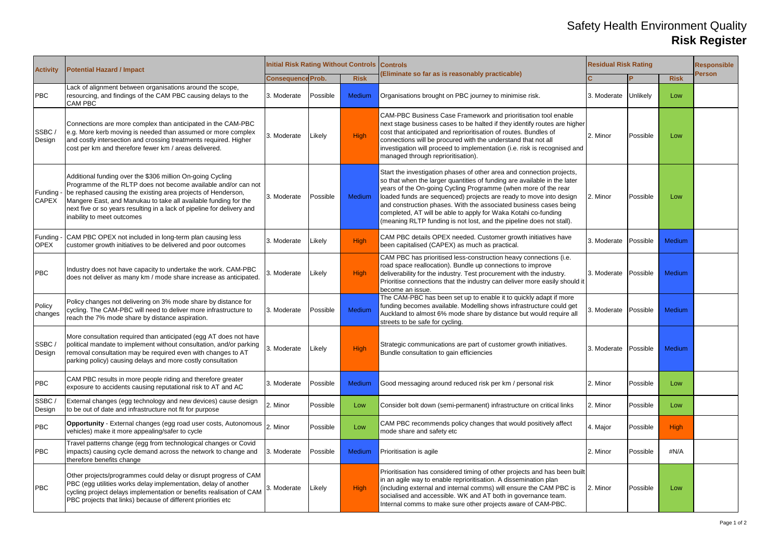## Safety Health Environment Quality **Risk Register**

| <b>Activity</b>                  | <b>Potential Hazard / Impact</b>                                                                                                                                                                                                                                                                                                                                       | <b>Initial Risk Rating Without Controls Controls</b> |          |               |                                                                                                                                                                                                                                                                                                                                                                                                                                                                                                          | <b>Residual Risk Rating</b> |          |             | <b>Responsible</b> |
|----------------------------------|------------------------------------------------------------------------------------------------------------------------------------------------------------------------------------------------------------------------------------------------------------------------------------------------------------------------------------------------------------------------|------------------------------------------------------|----------|---------------|----------------------------------------------------------------------------------------------------------------------------------------------------------------------------------------------------------------------------------------------------------------------------------------------------------------------------------------------------------------------------------------------------------------------------------------------------------------------------------------------------------|-----------------------------|----------|-------------|--------------------|
|                                  |                                                                                                                                                                                                                                                                                                                                                                        | <b>Consequence Prob.</b>                             |          | <b>Risk</b>   | (Eliminate so far as is reasonably practicable)                                                                                                                                                                                                                                                                                                                                                                                                                                                          |                             |          | <b>Risk</b> | <b>Person</b>      |
| <b>PBC</b>                       | Lack of alignment between organisations around the scope,<br>resourcing, and findings of the CAM PBC causing delays to the<br><b>CAM PBC</b>                                                                                                                                                                                                                           | 3. Moderate                                          | Possible | <b>Medium</b> | Organisations brought on PBC journey to minimise risk.                                                                                                                                                                                                                                                                                                                                                                                                                                                   | 3. Moderate                 | Unlikely | Low         |                    |
| SSBC<br>Design                   | Connections are more complex than anticipated in the CAM-PBC<br>e.g. More kerb moving is needed than assumed or more complex<br>and costly intersection and crossing treatments required. Higher<br>cost per km and therefore fewer km / areas delivered.                                                                                                              | 3. Moderate                                          | Likely   | High          | CAM-PBC Business Case Framework and prioritisation tool enable<br>next stage business cases to be halted if they identify routes are higher<br>cost that anticipated and reprioritisation of routes. Bundles of<br>connections will be procured with the understand that not all<br>investigation will proceed to implementation (i.e. risk is recognised and<br>managed through reprioritisation).                                                                                                      | 2. Minor                    | Possible | Low         |                    |
| <b>Funding -</b><br><b>CAPEX</b> | Additional funding over the \$306 million On-going Cycling<br>Programme of the RLTP does not become available and/or can not<br>be rephased causing the existing area projects of Henderson,<br>Mangere East, and Manukau to take all available funding for the<br>next five or so years resulting in a lack of pipeline for delivery and<br>nability to meet outcomes | 3. Moderate                                          | Possible | <b>Medium</b> | Start the investigation phases of other area and connection projects,<br>so that when the larger quantities of funding are available in the later<br>years of the On-going Cycling Programme (when more of the rear<br>loaded funds are sequenced) projects are ready to move into design<br>and construction phases. With the associated business cases being<br>completed, AT will be able to apply for Waka Kotahi co-funding<br>(meaning RLTP funding is not lost, and the pipeline does not stall). | 2. Minor                    | Possible | Low         |                    |
| Funding -<br><b>OPEX</b>         | CAM PBC OPEX not included in long-term plan causing less<br>customer growth initiatives to be delivered and poor outcomes                                                                                                                                                                                                                                              | 3. Moderate                                          | Likely   | High          | CAM PBC details OPEX needed. Customer growth initiatives have<br>been capitalised (CAPEX) as much as practical.                                                                                                                                                                                                                                                                                                                                                                                          | 3. Moderate                 | Possible | Medium      |                    |
| <b>PBC</b>                       | Industry does not have capacity to undertake the work. CAM-PBC<br>does not deliver as many km / mode share increase as anticipated.                                                                                                                                                                                                                                    | 3. Moderate                                          | Likely   | High          | CAM PBC has prioritised less-construction heavy connections (i.e.<br>road space reallocation). Bundle up connections to improve<br>deliverability for the industry. Test procurement with the industry.<br>Prioritise connections that the industry can deliver more easily should it<br>become an issue.                                                                                                                                                                                                | 3. Moderate                 | Possible | Medium      |                    |
| Policy<br>changes                | Policy changes not delivering on 3% mode share by distance for<br>cycling. The CAM-PBC will need to deliver more infrastructure to<br>reach the 7% mode share by distance aspiration.                                                                                                                                                                                  | 3. Moderate                                          | Possible | Medium        | The CAM-PBC has been set up to enable it to quickly adapt if more<br>funding becomes available. Modelling shows infrastructure could get<br>Auckland to almost 6% mode share by distance but would require all<br>streets to be safe for cycling.                                                                                                                                                                                                                                                        | 3. Moderate                 | Possible | Medium      |                    |
| SSBC/<br>Design                  | More consultation required than anticipated (egg AT does not have<br>political mandate to implement without consultation, and/or parking<br>removal consultation may be required even with changes to AT<br>parking policy) causing delays and more costly consultation                                                                                                | 3. Moderate                                          | Likely   | High          | Strategic communications are part of customer growth initiatives.<br>Bundle consultation to gain efficiencies                                                                                                                                                                                                                                                                                                                                                                                            | 3. Moderate                 | Possible | Medium      |                    |
| PBC                              | CAM PBC results in more people riding and therefore greater<br>exposure to accidents causing reputational risk to AT and AC                                                                                                                                                                                                                                            | 3. Moderate                                          | Possible | <b>Medium</b> | Good messaging around reduced risk per km / personal risk                                                                                                                                                                                                                                                                                                                                                                                                                                                | 2. Minor                    | Possible | Low         |                    |
| SSBC/<br>Design                  | External changes (egg technology and new devices) cause design<br>to be out of date and infrastructure not fit for purpose                                                                                                                                                                                                                                             | 2. Minor                                             | Possible | Low           | Consider bolt down (semi-permanent) infrastructure on critical links                                                                                                                                                                                                                                                                                                                                                                                                                                     | 2. Minor                    | Possible | Low         |                    |
| <b>PBC</b>                       | <b>Opportunity</b> - External changes (egg road user costs, Autonomous<br>vehicles) make it more appealing/safer to cycle                                                                                                                                                                                                                                              | 2. Minor                                             | Possible | Low           | CAM PBC recommends policy changes that would positively affect<br>mode share and safety etc                                                                                                                                                                                                                                                                                                                                                                                                              | 4. Major                    | Possible | <b>High</b> |                    |
| <b>PBC</b>                       | Fravel patterns change (egg from technological changes or Covid<br>impacts) causing cycle demand across the network to change and<br>therefore benefits change                                                                                                                                                                                                         | 3. Moderate                                          | Possible | <b>Medium</b> | <b>Prioritisation is agile</b>                                                                                                                                                                                                                                                                                                                                                                                                                                                                           | 2. Minor                    | Possible | #N/A        |                    |
| <b>PBC</b>                       | Other projects/programmes could delay or disrupt progress of CAM<br>PBC (egg utilities works delay implementation, delay of another<br>cycling project delays implementation or benefits realisation of CAM<br>PBC projects that links) because of different priorities etc                                                                                            | 3. Moderate                                          | Likely   | High          | Prioritisation has considered timing of other projects and has been built<br>in an agile way to enable reprioritisation. A dissemination plan<br>(including external and internal comms) will ensure the CAM PBC is<br>socialised and accessible. WK and AT both in governance team.<br>Internal comms to make sure other projects aware of CAM-PBC.                                                                                                                                                     | 2. Minor                    | Possible | Low         |                    |